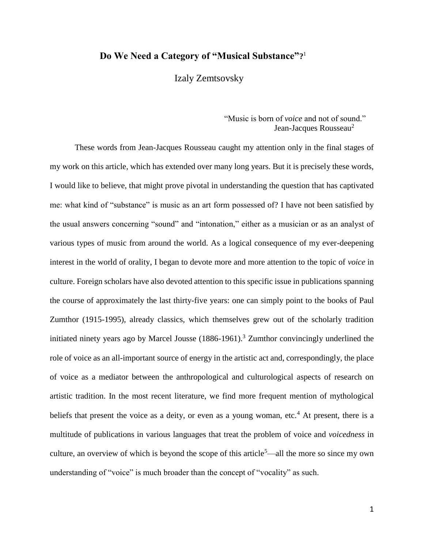## **Do We Need a Category of "Musical Substance"?** 1

Izaly Zemtsovsky

"Music is born of *voice* and not of sound." Jean-Jacques Rousseau<sup>2</sup>

 These words from Jean-Jacques Rousseau caught my attention only in the final stages of my work on this article, which has extended over many long years. But it is precisely these words, I would like to believe, that might prove pivotal in understanding the question that has captivated me: what kind of "substance" is music as an art form possessed of? I have not been satisfied by the usual answers concerning "sound" and "intonation," either as a musician or as an analyst of various types of music from around the world. As a logical consequence of my ever-deepening interest in the world of orality, I began to devote more and more attention to the topic of *voice* in culture. Foreign scholars have also devoted attention to this specific issue in publications spanning the course of approximately the last thirty-five years: one can simply point to the books of Paul Zumthor (1915-1995), already classics, which themselves grew out of the scholarly tradition initiated ninety years ago by Marcel Jousse  $(1886-1961)$ .<sup>3</sup> Zumthor convincingly underlined the role of voice as an all-important source of energy in the artistic act and, correspondingly, the place of voice as a mediator between the anthropological and culturological aspects of research on artistic tradition. In the most recent literature, we find more frequent mention of mythological beliefs that present the voice as a deity, or even as a young woman, etc.<sup>4</sup> At present, there is a multitude of publications in various languages that treat the problem of voice and *voicedness* in culture, an overview of which is beyond the scope of this article<sup>5</sup>—all the more so since my own understanding of "voice" is much broader than the concept of "vocality" as such.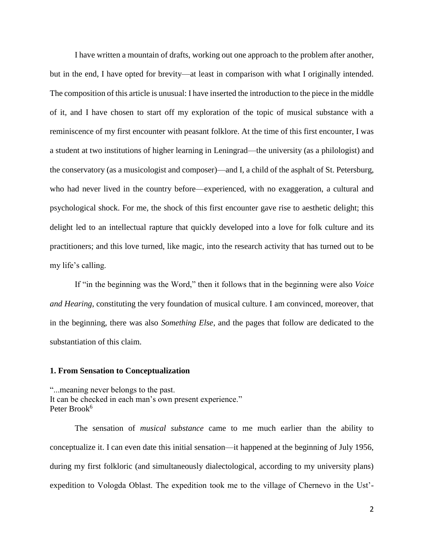I have written a mountain of drafts, working out one approach to the problem after another, but in the end, I have opted for brevity—at least in comparison with what I originally intended. The composition of this article is unusual: I have inserted the introduction to the piece in the middle of it, and I have chosen to start off my exploration of the topic of musical substance with a reminiscence of my first encounter with peasant folklore. At the time of this first encounter, I was a student at two institutions of higher learning in Leningrad—the university (as a philologist) and the conservatory (as a musicologist and composer)—and I, a child of the asphalt of St. Petersburg, who had never lived in the country before—experienced, with no exaggeration, a cultural and psychological shock. For me, the shock of this first encounter gave rise to aesthetic delight; this delight led to an intellectual rapture that quickly developed into a love for folk culture and its practitioners; and this love turned, like magic, into the research activity that has turned out to be my life's calling.

 If "in the beginning was the Word," then it follows that in the beginning were also *Voice and Hearing*, constituting the very foundation of musical culture. I am convinced, moreover, that in the beginning, there was also *Something Else*, and the pages that follow are dedicated to the substantiation of this claim.

## **1. From Sensation to Conceptualization**

"...meaning never belongs to the past. It can be checked in each man's own present experience." Peter Brook<sup>6</sup>

 The sensation of *musical substance* came to me much earlier than the ability to conceptualize it. I can even date this initial sensation—it happened at the beginning of July 1956, during my first folkloric (and simultaneously dialectological, according to my university plans) expedition to Vologda Oblast. The expedition took me to the village of Chernevo in the Ust'-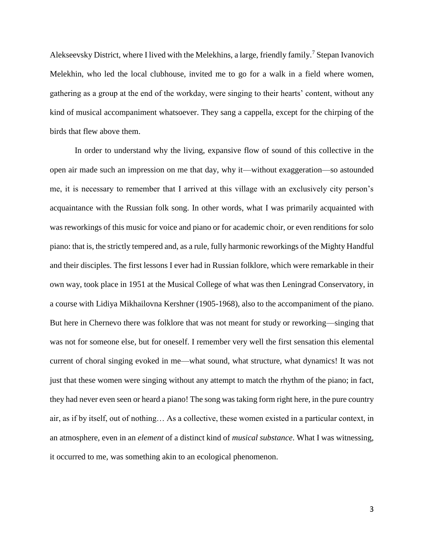Alekseevsky District, where I lived with the Melekhins, a large, friendly family.<sup>7</sup> Stepan Ivanovich Melekhin, who led the local clubhouse, invited me to go for a walk in a field where women, gathering as a group at the end of the workday, were singing to their hearts' content, without any kind of musical accompaniment whatsoever. They sang a cappella, except for the chirping of the birds that flew above them.

In order to understand why the living, expansive flow of sound of this collective in the open air made such an impression on me that day, why it—without exaggeration—so astounded me, it is necessary to remember that I arrived at this village with an exclusively city person's acquaintance with the Russian folk song. In other words, what I was primarily acquainted with was reworkings of this music for voice and piano or for academic choir, or even renditions for solo piano: that is, the strictly tempered and, as a rule, fully harmonic reworkings of the Mighty Handful and their disciples. The first lessons I ever had in Russian folklore, which were remarkable in their own way, took place in 1951 at the Musical College of what was then Leningrad Conservatory, in a course with Lidiya Mikhailovna Kershner (1905-1968), also to the accompaniment of the piano. But here in Chernevo there was folklore that was not meant for study or reworking—singing that was not for someone else, but for oneself. I remember very well the first sensation this elemental current of choral singing evoked in me—what sound, what structure, what dynamics! It was not just that these women were singing without any attempt to match the rhythm of the piano; in fact, they had never even seen or heard a piano! The song was taking form right here, in the pure country air, as if by itself, out of nothing… As a collective, these women existed in a particular context, in an atmosphere, even in an *element* of a distinct kind of *musical substance*. What I was witnessing, it occurred to me, was something akin to an ecological phenomenon.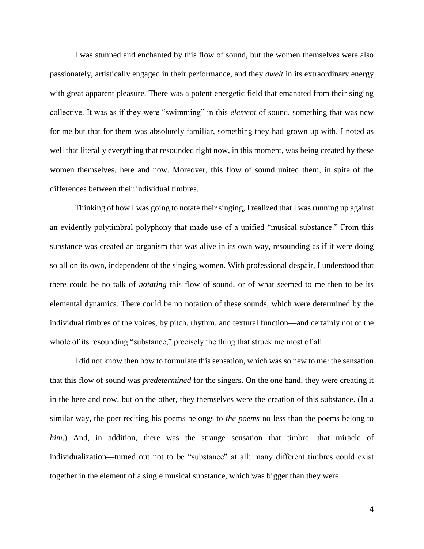I was stunned and enchanted by this flow of sound, but the women themselves were also passionately, artistically engaged in their performance, and they *dwelt* in its extraordinary energy with great apparent pleasure. There was a potent energetic field that emanated from their singing collective. It was as if they were "swimming" in this *element* of sound, something that was new for me but that for them was absolutely familiar, something they had grown up with. I noted as well that literally everything that resounded right now, in this moment, was being created by these women themselves, here and now. Moreover, this flow of sound united them, in spite of the differences between their individual timbres.

 Thinking of how I was going to notate their singing, I realized that I was running up against an evidently polytimbral polyphony that made use of a unified "musical substance." From this substance was created an organism that was alive in its own way, resounding as if it were doing so all on its own, independent of the singing women. With professional despair, I understood that there could be no talk of *notating* this flow of sound, or of what seemed to me then to be its elemental dynamics. There could be no notation of these sounds, which were determined by the individual timbres of the voices, by pitch, rhythm, and textural function—and certainly not of the whole of its resounding "substance," precisely the thing that struck me most of all.

 I did not know then how to formulate this sensation, which was so new to me: the sensation that this flow of sound was *predetermined* for the singers. On the one hand, they were creating it in the here and now, but on the other, they themselves were the creation of this substance. (In a similar way, the poet reciting his poems belongs to *the poems* no less than the poems belong to *him*.) And, in addition, there was the strange sensation that timbre—that miracle of individualization—turned out not to be "substance" at all: many different timbres could exist together in the element of a single musical substance, which was bigger than they were.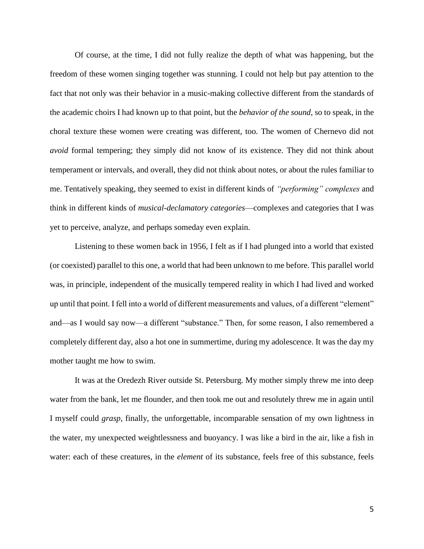Of course, at the time, I did not fully realize the depth of what was happening, but the freedom of these women singing together was stunning. I could not help but pay attention to the fact that not only was their behavior in a music-making collective different from the standards of the academic choirs I had known up to that point, but the *behavior of the sound*, so to speak, in the choral texture these women were creating was different, too. The women of Chernevo did not *avoid* formal tempering; they simply did not know of its existence. They did not think about temperament or intervals, and overall, they did not think about notes, or about the rules familiar to me. Tentatively speaking, they seemed to exist in different kinds of *"performing" complexes* and think in different kinds of *musical-declamatory categories*—complexes and categories that I was yet to perceive, analyze, and perhaps someday even explain.

Listening to these women back in 1956, I felt as if I had plunged into a world that existed (or coexisted) parallel to this one, a world that had been unknown to me before. This parallel world was, in principle, independent of the musically tempered reality in which I had lived and worked up until that point. I fell into a world of different measurements and values, of a different "element" and—as I would say now—a different "substance." Then, for some reason, I also remembered a completely different day, also a hot one in summertime, during my adolescence. It was the day my mother taught me how to swim.

It was at the Oredezh River outside St. Petersburg. My mother simply threw me into deep water from the bank, let me flounder, and then took me out and resolutely threw me in again until I myself could *grasp*, finally, the unforgettable, incomparable sensation of my own lightness in the water, my unexpected weightlessness and buoyancy. I was like a bird in the air, like a fish in water: each of these creatures, in the *element* of its substance, feels free of this substance, feels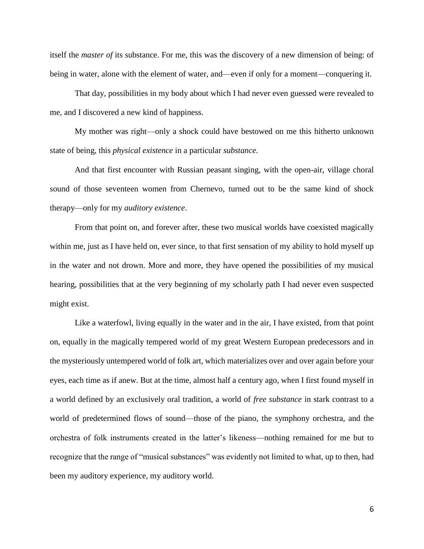itself the *master of* its substance. For me, this was the discovery of a new dimension of being: of being in water, alone with the element of water, and—even if only for a moment—conquering it.

That day, possibilities in my body about which I had never even guessed were revealed to me, and I discovered a new kind of happiness.

My mother was right—only a shock could have bestowed on me this hitherto unknown state of being, this *physical existence* in a particular *substance*.

And that first encounter with Russian peasant singing, with the open-air, village choral sound of those seventeen women from Chernevo, turned out to be the same kind of shock therapy—only for my *auditory existence*.

From that point on, and forever after, these two musical worlds have coexisted magically within me, just as I have held on, ever since, to that first sensation of my ability to hold myself up in the water and not drown. More and more, they have opened the possibilities of my musical hearing, possibilities that at the very beginning of my scholarly path I had never even suspected might exist.

Like a waterfowl, living equally in the water and in the air, I have existed, from that point on, equally in the magically tempered world of my great Western European predecessors and in the mysteriously untempered world of folk art, which materializes over and over again before your eyes, each time as if anew. But at the time, almost half a century ago, when I first found myself in a world defined by an exclusively oral tradition, a world of *free substance* in stark contrast to a world of predetermined flows of sound—those of the piano, the symphony orchestra, and the orchestra of folk instruments created in the latter's likeness—nothing remained for me but to recognize that the range of "musical substances" was evidently not limited to what, up to then, had been my auditory experience, my auditory world.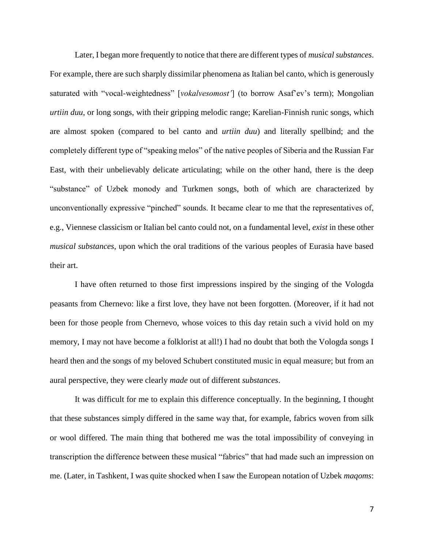Later, I began more frequently to notice that there are different types of *musical substances*. For example, there are such sharply dissimilar phenomena as Italian bel canto, which is generously saturated with "vocal-weightedness" [*vokalvesomost'*] (to borrow Asaf'ev's term); Mongolian *urtiin duu*, or long songs, with their gripping melodic range; Karelian-Finnish runic songs, which are almost spoken (compared to bel canto and *urtiin duu*) and literally spellbind; and the completely different type of "speaking melos" of the native peoples of Siberia and the Russian Far East, with their unbelievably delicate articulating; while on the other hand, there is the deep "substance" of Uzbek monody and Turkmen songs, both of which are characterized by unconventionally expressive "pinched" sounds. It became clear to me that the representatives of, e.g., Viennese classicism or Italian bel canto could not, on a fundamental level, *exist* in these other *musical substances*, upon which the oral traditions of the various peoples of Eurasia have based their art.

I have often returned to those first impressions inspired by the singing of the Vologda peasants from Chernevo: like a first love, they have not been forgotten. (Moreover, if it had not been for those people from Chernevo, whose voices to this day retain such a vivid hold on my memory, I may not have become a folklorist at all!) I had no doubt that both the Vologda songs I heard then and the songs of my beloved Schubert constituted music in equal measure; but from an aural perspective, they were clearly *made* out of different *substances*.

It was difficult for me to explain this difference conceptually. In the beginning, I thought that these substances simply differed in the same way that, for example, fabrics woven from silk or wool differed. The main thing that bothered me was the total impossibility of conveying in transcription the difference between these musical "fabrics" that had made such an impression on me. (Later, in Tashkent, I was quite shocked when I saw the European notation of Uzbek *maqoms*: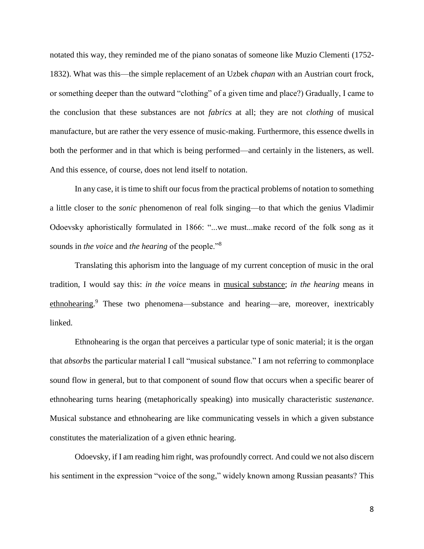notated this way, they reminded me of the piano sonatas of someone like Muzio Clementi (1752- 1832). What was this—the simple replacement of an Uzbek *chapan* with an Austrian court frock, or something deeper than the outward "clothing" of a given time and place?) Gradually, I came to the conclusion that these substances are not *fabrics* at all; they are not *clothing* of musical manufacture, but are rather the very essence of music-making. Furthermore, this essence dwells in both the performer and in that which is being performed—and certainly in the listeners, as well. And this essence, of course, does not lend itself to notation.

In any case, it is time to shift our focus from the practical problems of notation to something a little closer to the *sonic* phenomenon of real folk singing—to that which the genius Vladimir Odoevsky aphoristically formulated in 1866: "...we must...make record of the folk song as it sounds in *the voice* and *the hearing* of the people."<sup>8</sup>

Translating this aphorism into the language of my current conception of music in the oral tradition, I would say this: *in the voice* means in musical substance; *in the hearing* means in ethnohearing.<sup>9</sup> These two phenomena—substance and hearing—are, moreover, inextricably linked.

Ethnohearing is the organ that perceives a particular type of sonic material; it is the organ that *absorbs* the particular material I call "musical substance." I am not referring to commonplace sound flow in general, but to that component of sound flow that occurs when a specific bearer of ethnohearing turns hearing (metaphorically speaking) into musically characteristic *sustenance*. Musical substance and ethnohearing are like communicating vessels in which a given substance constitutes the materialization of a given ethnic hearing.

Odoevsky, if I am reading him right, was profoundly correct. And could we not also discern his sentiment in the expression "voice of the song," widely known among Russian peasants? This

8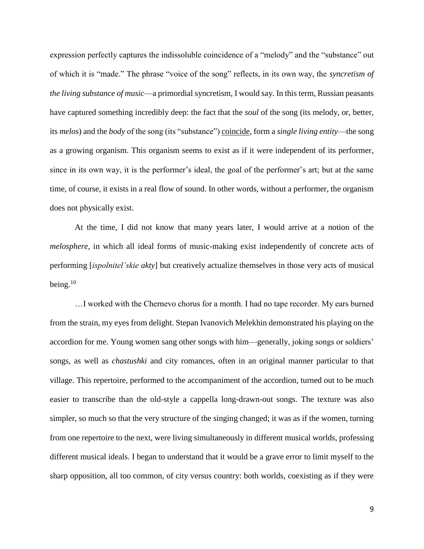expression perfectly captures the indissoluble coincidence of a "melody" and the "substance" out of which it is "made." The phrase "voice of the song" reflects, in its own way, the *syncretism of the living substance of music*—a primordial syncretism, I would say. In this term, Russian peasants have captured something incredibly deep: the fact that the *soul* of the song (its melody, or, better, its *melos*) and the *body* of the song (its "substance") coincide, form a *single living entity*—the song as a growing organism. This organism seems to exist as if it were independent of its performer, since in its own way, it is the performer's ideal, the goal of the performer's art; but at the same time, of course, it exists in a real flow of sound. In other words, without a performer, the organism does not physically exist.

At the time, I did not know that many years later, I would arrive at a notion of the *melosphere*, in which all ideal forms of music-making exist independently of concrete acts of performing [*ispolnitel'skie akty*] but creatively actualize themselves in those very acts of musical being.<sup>10</sup>

…I worked with the Chernevo chorus for a month. I had no tape recorder. My ears burned from the strain, my eyes from delight. Stepan Ivanovich Melekhin demonstrated his playing on the accordion for me. Young women sang other songs with him—generally, joking songs or soldiers' songs, as well as *chastushki* and city romances, often in an original manner particular to that village. This repertoire, performed to the accompaniment of the accordion, turned out to be much easier to transcribe than the old-style a cappella long-drawn-out songs. The texture was also simpler, so much so that the very structure of the singing changed; it was as if the women, turning from one repertoire to the next, were living simultaneously in different musical worlds, professing different musical ideals. I began to understand that it would be a grave error to limit myself to the sharp opposition, all too common, of city versus country: both worlds, coexisting as if they were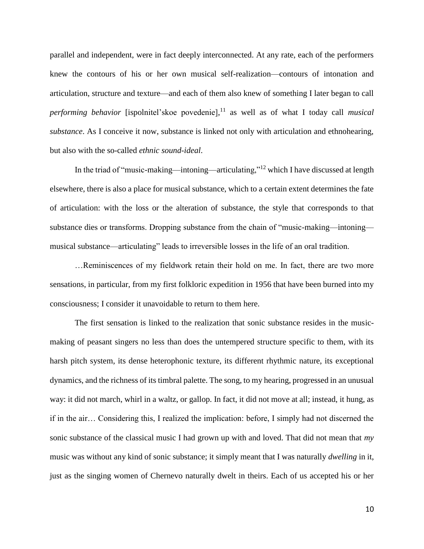parallel and independent, were in fact deeply interconnected. At any rate, each of the performers knew the contours of his or her own musical self-realization—contours of intonation and articulation, structure and texture—and each of them also knew of something I later began to call *performing behavior* [ispolnitel'skoe povedenie], <sup>11</sup> as well as of what I today call *musical substance*. As I conceive it now, substance is linked not only with articulation and ethnohearing, but also with the so-called *ethnic sound-ideal*.

In the triad of "music-making—intoning—articulating,"<sup>12</sup> which I have discussed at length elsewhere, there is also a place for musical substance, which to a certain extent determines the fate of articulation: with the loss or the alteration of substance, the style that corresponds to that substance dies or transforms. Dropping substance from the chain of "music-making—intoning musical substance—articulating" leads to irreversible losses in the life of an oral tradition.

…Reminiscences of my fieldwork retain their hold on me. In fact, there are two more sensations, in particular, from my first folkloric expedition in 1956 that have been burned into my consciousness; I consider it unavoidable to return to them here.

The first sensation is linked to the realization that sonic substance resides in the musicmaking of peasant singers no less than does the untempered structure specific to them, with its harsh pitch system, its dense heterophonic texture, its different rhythmic nature, its exceptional dynamics, and the richness of its timbral palette. The song, to my hearing, progressed in an unusual way: it did not march, whirl in a waltz, or gallop. In fact, it did not move at all; instead, it hung, as if in the air… Considering this, I realized the implication: before, I simply had not discerned the sonic substance of the classical music I had grown up with and loved. That did not mean that *my* music was without any kind of sonic substance; it simply meant that I was naturally *dwelling* in it, just as the singing women of Chernevo naturally dwelt in theirs. Each of us accepted his or her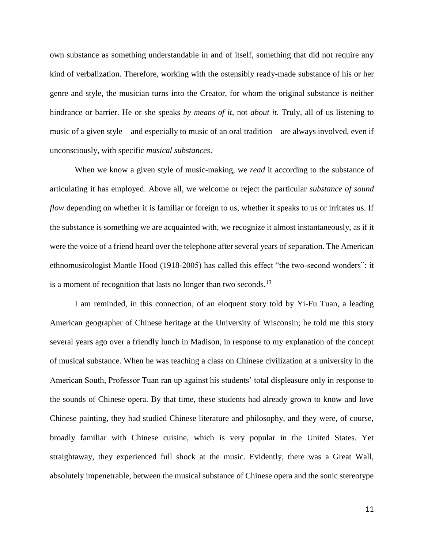own substance as something understandable in and of itself, something that did not require any kind of verbalization. Therefore, working with the ostensibly ready-made substance of his or her genre and style, the musician turns into the Creator, for whom the original substance is neither hindrance or barrier. He or she speaks *by means of it*, not *about it*. Truly, all of us listening to music of a given style—and especially to music of an oral tradition—are always involved, even if unconsciously, with specific *musical substances*.

When we know a given style of music-making, we *read* it according to the substance of articulating it has employed. Above all, we welcome or reject the particular *substance of sound flow* depending on whether it is familiar or foreign to us, whether it speaks to us or irritates us. If the substance is something we are acquainted with, we recognize it almost instantaneously, as if it were the voice of a friend heard over the telephone after several years of separation. The American ethnomusicologist Mantle Hood (1918-2005) has called this effect "the two-second wonders": it is a moment of recognition that lasts no longer than two seconds.<sup>13</sup>

I am reminded, in this connection, of an eloquent story told by Yi-Fu Tuan, a leading American geographer of Chinese heritage at the University of Wisconsin; he told me this story several years ago over a friendly lunch in Madison, in response to my explanation of the concept of musical substance. When he was teaching a class on Chinese civilization at a university in the American South, Professor Tuan ran up against his students' total displeasure only in response to the sounds of Chinese opera. By that time, these students had already grown to know and love Chinese painting, they had studied Chinese literature and philosophy, and they were, of course, broadly familiar with Chinese cuisine, which is very popular in the United States. Yet straightaway, they experienced full shock at the music. Evidently, there was a Great Wall, absolutely impenetrable, between the musical substance of Chinese opera and the sonic stereotype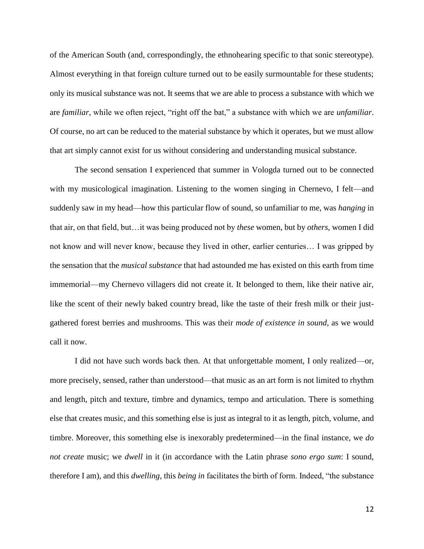of the American South (and, correspondingly, the ethnohearing specific to that sonic stereotype). Almost everything in that foreign culture turned out to be easily surmountable for these students; only its musical substance was not. It seems that we are able to process a substance with which we are *familiar*, while we often reject, "right off the bat," a substance with which we are *unfamiliar*. Of course, no art can be reduced to the material substance by which it operates, but we must allow that art simply cannot exist for us without considering and understanding musical substance.

The second sensation I experienced that summer in Vologda turned out to be connected with my musicological imagination. Listening to the women singing in Chernevo, I felt—and suddenly saw in my head—how this particular flow of sound, so unfamiliar to me, was *hanging* in that air, on that field, but…it was being produced not by *these* women, but by *others*, women I did not know and will never know, because they lived in other, earlier centuries… I was gripped by the sensation that the *musical substance* that had astounded me has existed on this earth from time immemorial—my Chernevo villagers did not create it. It belonged to them, like their native air, like the scent of their newly baked country bread, like the taste of their fresh milk or their justgathered forest berries and mushrooms. This was their *mode of existence in sound*, as we would call it now.

I did not have such words back then. At that unforgettable moment, I only realized—or, more precisely, sensed, rather than understood—that music as an art form is not limited to rhythm and length, pitch and texture, timbre and dynamics, tempo and articulation. There is something else that creates music, and this something else is just as integral to it as length, pitch, volume, and timbre. Moreover, this something else is inexorably predetermined—in the final instance, we *do not create* music; we *dwell* in it (in accordance with the Latin phrase *sono ergo sum*: I sound, therefore I am), and this *dwelling*, this *being in* facilitates the birth of form. Indeed, "the substance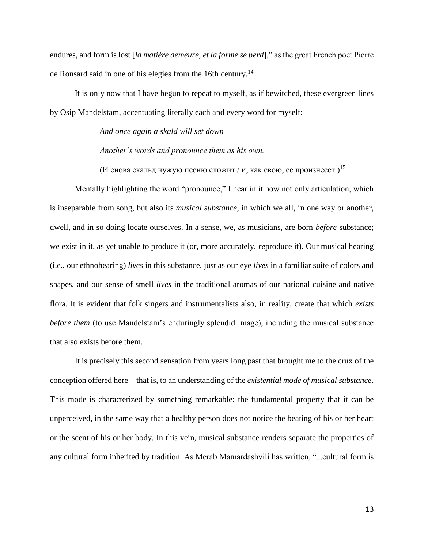endures, and form is lost [*la matière demeure, et la forme se perd*]," as the great French poet Pierre de Ronsard said in one of his elegies from the 16th century.<sup>14</sup>

It is only now that I have begun to repeat to myself, as if bewitched, these evergreen lines by Osip Mandelstam, accentuating literally each and every word for myself:

*And once again a skald will set down* 

*Another's words and pronounce them as his own.*

(И снова скальд чужую песню сложит / и, как свою, ее произнесет.)<sup>15</sup>

Mentally highlighting the word "pronounce," I hear in it now not only articulation, which is inseparable from song, but also its *musical substance*, in which we all, in one way or another, dwell, and in so doing locate ourselves. In a sense, we, as musicians, are born *before* substance; we exist in it, as yet unable to produce it (or, more accurately, *re*produce it). Our musical hearing (i.e., our ethnohearing) *lives* in this substance, just as our eye *lives* in a familiar suite of colors and shapes, and our sense of smell *lives* in the traditional aromas of our national cuisine and native flora. It is evident that folk singers and instrumentalists also, in reality, create that which *exists before them* (to use Mandelstam's enduringly splendid image), including the musical substance that also exists before them.

It is precisely this second sensation from years long past that brought me to the crux of the conception offered here—that is, to an understanding of the *existential mode of musical substance*. This mode is characterized by something remarkable: the fundamental property that it can be unperceived, in the same way that a healthy person does not notice the beating of his or her heart or the scent of his or her body. In this vein, musical substance renders separate the properties of any cultural form inherited by tradition. As Merab Mamardashvili has written, "...cultural form is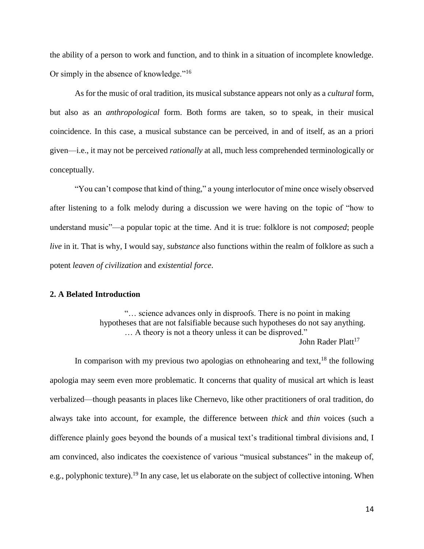the ability of a person to work and function, and to think in a situation of incomplete knowledge. Or simply in the absence of knowledge."<sup>16</sup>

As for the music of oral tradition, its musical substance appears not only as a *cultural* form, but also as an *anthropological* form. Both forms are taken, so to speak, in their musical coincidence. In this case, a musical substance can be perceived, in and of itself, as an a priori given—i.e., it may not be perceived *rationally* at all, much less comprehended terminologically or conceptually.

"You can't compose that kind of thing," a young interlocutor of mine once wisely observed after listening to a folk melody during a discussion we were having on the topic of "how to understand music"—a popular topic at the time. And it is true: folklore is not *composed*; people *live* in it. That is why, I would say, *substance* also functions within the realm of folklore as such a potent *leaven of civilization* and *existential force*.

## **2. A Belated Introduction**

"… science advances only in disproofs. There is no point in making hypotheses that are not falsifiable because such hypotheses do not say anything. … A theory is not a theory unless it can be disproved." John Rader Platt<sup>17</sup>

In comparison with my previous two apologias on ethnohearing and text,  $^{18}$  the following apologia may seem even more problematic. It concerns that quality of musical art which is least verbalized—though peasants in places like Chernevo, like other practitioners of oral tradition, do always take into account, for example, the difference between *thick* and *thin* voices (such a difference plainly goes beyond the bounds of a musical text's traditional timbral divisions and, I am convinced, also indicates the coexistence of various "musical substances" in the makeup of, e.g., polyphonic texture).<sup>19</sup> In any case, let us elaborate on the subject of collective intoning. When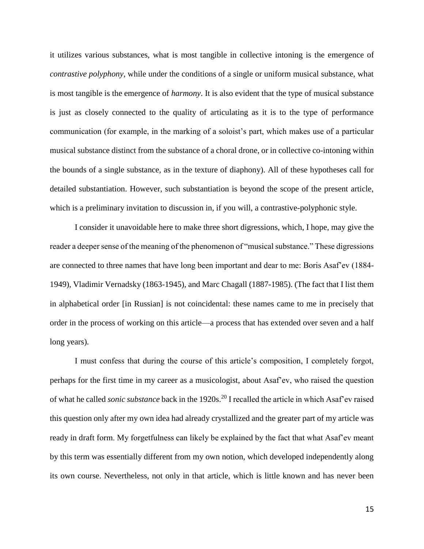it utilizes various substances, what is most tangible in collective intoning is the emergence of *contrastive polyphony*, while under the conditions of a single or uniform musical substance, what is most tangible is the emergence of *harmony*. It is also evident that the type of musical substance is just as closely connected to the quality of articulating as it is to the type of performance communication (for example, in the marking of a soloist's part, which makes use of a particular musical substance distinct from the substance of a choral drone, or in collective co-intoning within the bounds of a single substance, as in the texture of diaphony). All of these hypotheses call for detailed substantiation. However, such substantiation is beyond the scope of the present article, which is a preliminary invitation to discussion in, if you will, a contrastive-polyphonic style.

I consider it unavoidable here to make three short digressions, which, I hope, may give the reader a deeper sense of the meaning of the phenomenon of "musical substance." These digressions are connected to three names that have long been important and dear to me: Boris Asaf'ev (1884- 1949), Vladimir Vernadsky (1863-1945), and Marc Chagall (1887-1985). (The fact that I list them in alphabetical order [in Russian] is not coincidental: these names came to me in precisely that order in the process of working on this article—a process that has extended over seven and a half long years).

I must confess that during the course of this article's composition, I completely forgot, perhaps for the first time in my career as a musicologist, about Asaf'ev, who raised the question of what he called *sonic substance* back in the 1920s.<sup>20</sup> I recalled the article in which Asaf'ev raised this question only after my own idea had already crystallized and the greater part of my article was ready in draft form. My forgetfulness can likely be explained by the fact that what Asaf'ev meant by this term was essentially different from my own notion, which developed independently along its own course. Nevertheless, not only in that article, which is little known and has never been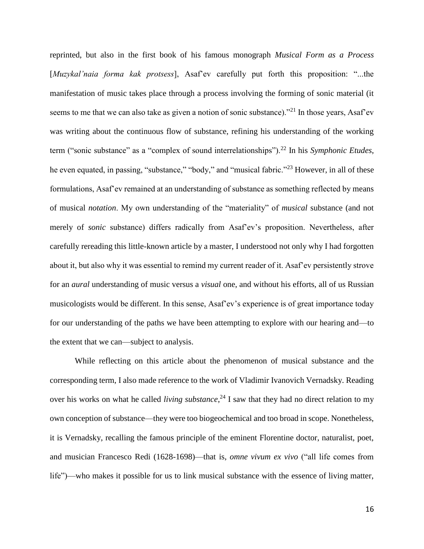reprinted, but also in the first book of his famous monograph *Musical Form as a Process*  [*Muzykal'naia forma kak protsess*], Asaf'ev carefully put forth this proposition: "...the manifestation of music takes place through a process involving the forming of sonic material (it seems to me that we can also take as given a notion of sonic substance)."<sup>21</sup> In those years, Asaf'ev was writing about the continuous flow of substance, refining his understanding of the working term ("sonic substance" as a "complex of sound interrelationships").<sup>22</sup> In his *Symphonic Etudes*, he even equated, in passing, "substance," "body," and "musical fabric."<sup>23</sup> However, in all of these formulations, Asaf'ev remained at an understanding of substance as something reflected by means of musical *notation*. My own understanding of the "materiality" of *musical* substance (and not merely of *sonic* substance) differs radically from Asaf'ev's proposition. Nevertheless, after carefully rereading this little-known article by a master, I understood not only why I had forgotten about it, but also why it was essential to remind my current reader of it. Asaf'ev persistently strove for an *aural* understanding of music versus a *visual* one, and without his efforts, all of us Russian musicologists would be different. In this sense, Asaf'ev's experience is of great importance today for our understanding of the paths we have been attempting to explore with our hearing and—to the extent that we can—subject to analysis.

While reflecting on this article about the phenomenon of musical substance and the corresponding term, I also made reference to the work of Vladimir Ivanovich Vernadsky. Reading over his works on what he called *living substance*, <sup>24</sup> I saw that they had no direct relation to my own conception of substance—they were too biogeochemical and too broad in scope. Nonetheless, it is Vernadsky, recalling the famous principle of the eminent Florentine doctor, naturalist, poet, and musician Francesco Redi (1628-1698)—that is, *omne vivum ex vivo* ("all life comes from life")—who makes it possible for us to link musical substance with the essence of living matter,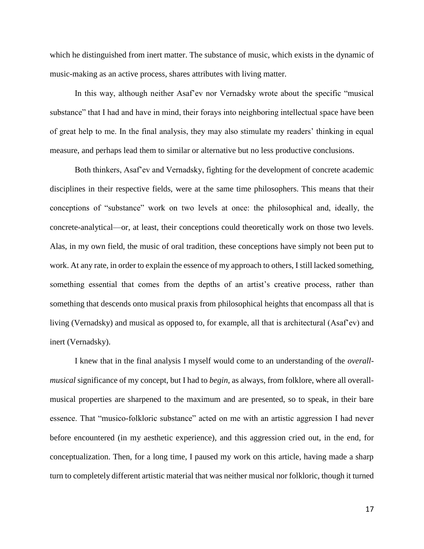which he distinguished from inert matter. The substance of music, which exists in the dynamic of music-making as an active process, shares attributes with living matter.

In this way, although neither Asaf'ev nor Vernadsky wrote about the specific "musical substance" that I had and have in mind, their forays into neighboring intellectual space have been of great help to me. In the final analysis, they may also stimulate my readers' thinking in equal measure, and perhaps lead them to similar or alternative but no less productive conclusions.

Both thinkers, Asaf'ev and Vernadsky, fighting for the development of concrete academic disciplines in their respective fields, were at the same time philosophers. This means that their conceptions of "substance" work on two levels at once: the philosophical and, ideally, the concrete-analytical—or, at least, their conceptions could theoretically work on those two levels. Alas, in my own field, the music of oral tradition, these conceptions have simply not been put to work. At any rate, in order to explain the essence of my approach to others, I still lacked something, something essential that comes from the depths of an artist's creative process, rather than something that descends onto musical praxis from philosophical heights that encompass all that is living (Vernadsky) and musical as opposed to, for example, all that is architectural (Asaf'ev) and inert (Vernadsky).

I knew that in the final analysis I myself would come to an understanding of the *overallmusical* significance of my concept, but I had to *begin*, as always, from folklore, where all overallmusical properties are sharpened to the maximum and are presented, so to speak, in their bare essence. That "musico-folkloric substance" acted on me with an artistic aggression I had never before encountered (in my aesthetic experience), and this aggression cried out, in the end, for conceptualization. Then, for a long time, I paused my work on this article, having made a sharp turn to completely different artistic material that was neither musical nor folkloric, though it turned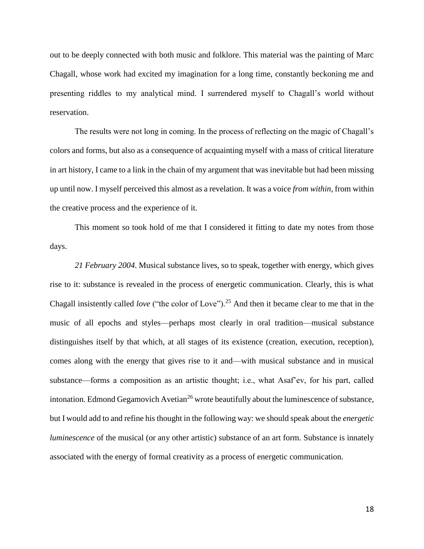out to be deeply connected with both music and folklore. This material was the painting of Marc Chagall, whose work had excited my imagination for a long time, constantly beckoning me and presenting riddles to my analytical mind. I surrendered myself to Chagall's world without reservation.

The results were not long in coming. In the process of reflecting on the magic of Chagall's colors and forms, but also as a consequence of acquainting myself with a mass of critical literature in art history, I came to a link in the chain of my argument that was inevitable but had been missing up until now. I myself perceived this almost as a revelation. It was a voice *from within*, from within the creative process and the experience of it.

This moment so took hold of me that I considered it fitting to date my notes from those days.

*21 February 2004*. Musical substance lives, so to speak, together with energy, which gives rise to it: substance is revealed in the process of energetic communication. Clearly, this is what Chagall insistently called *love* ("the color of Love").<sup>25</sup> And then it became clear to me that in the music of all epochs and styles—perhaps most clearly in oral tradition—musical substance distinguishes itself by that which, at all stages of its existence (creation, execution, reception), comes along with the energy that gives rise to it and—with musical substance and in musical substance—forms a composition as an artistic thought; i.e., what Asaf'ev, for his part, called intonation. Edmond Gegamovich Avetian<sup>26</sup> wrote beautifully about the luminescence of substance, but I would add to and refine his thought in the following way: we should speak about the *energetic luminescence* of the musical (or any other artistic) substance of an art form. Substance is innately associated with the energy of formal creativity as a process of energetic communication.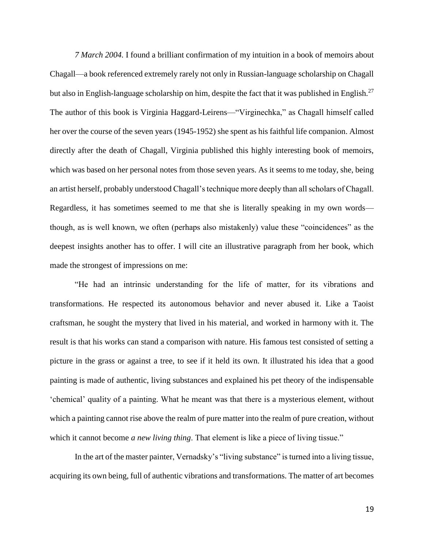*7 March 2004.* I found a brilliant confirmation of my intuition in a book of memoirs about Chagall—a book referenced extremely rarely not only in Russian-language scholarship on Chagall but also in English-language scholarship on him, despite the fact that it was published in English.<sup>27</sup> The author of this book is Virginia Haggard-Leirens—"Virginechka," as Chagall himself called her over the course of the seven years (1945-1952) she spent as his faithful life companion. Almost directly after the death of Chagall, Virginia published this highly interesting book of memoirs, which was based on her personal notes from those seven years. As it seems to me today, she, being an artist herself, probably understood Chagall's technique more deeply than all scholars of Chagall. Regardless, it has sometimes seemed to me that she is literally speaking in my own words though, as is well known, we often (perhaps also mistakenly) value these "coincidences" as the deepest insights another has to offer. I will cite an illustrative paragraph from her book, which made the strongest of impressions on me:

"He had an intrinsic understanding for the life of matter, for its vibrations and transformations. He respected its autonomous behavior and never abused it. Like a Taoist craftsman, he sought the mystery that lived in his material, and worked in harmony with it. The result is that his works can stand a comparison with nature. His famous test consisted of setting a picture in the grass or against a tree, to see if it held its own. It illustrated his idea that a good painting is made of authentic, living substances and explained his pet theory of the indispensable 'chemical' quality of a painting. What he meant was that there is a mysterious element, without which a painting cannot rise above the realm of pure matter into the realm of pure creation, without which it cannot become *a new living thing*. That element is like a piece of living tissue."

In the art of the master painter, Vernadsky's "living substance" is turned into a living tissue, acquiring its own being, full of authentic vibrations and transformations. The matter of art becomes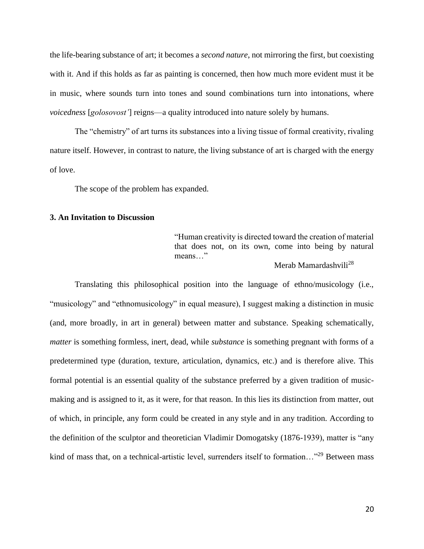the life-bearing substance of art; it becomes a *second nature*, not mirroring the first, but coexisting with it. And if this holds as far as painting is concerned, then how much more evident must it be in music, where sounds turn into tones and sound combinations turn into intonations, where *voicedness* [*golosovost'*] reigns—a quality introduced into nature solely by humans.

The "chemistry" of art turns its substances into a living tissue of formal creativity, rivaling nature itself. However, in contrast to nature, the living substance of art is charged with the energy of love.

The scope of the problem has expanded.

## **3. An Invitation to Discussion**

"Human creativity is directed toward the creation of material that does not, on its own, come into being by natural means…"

Merab Mamardashvili<sup>28</sup>

 Translating this philosophical position into the language of ethno/musicology (i.e., "musicology" and "ethnomusicology" in equal measure), I suggest making a distinction in music (and, more broadly, in art in general) between matter and substance. Speaking schematically, *matter* is something formless, inert, dead, while *substance* is something pregnant with forms of a predetermined type (duration, texture, articulation, dynamics, etc.) and is therefore alive. This formal potential is an essential quality of the substance preferred by a given tradition of musicmaking and is assigned to it, as it were, for that reason. In this lies its distinction from matter, out of which, in principle, any form could be created in any style and in any tradition. According to the definition of the sculptor and theoretician Vladimir Domogatsky (1876-1939), matter is "any kind of mass that, on a technical-artistic level, surrenders itself to formation..."<sup>29</sup> Between mass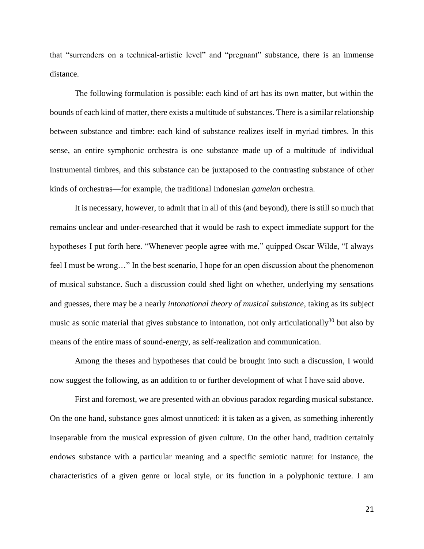that "surrenders on a technical-artistic level" and "pregnant" substance, there is an immense distance.

 The following formulation is possible: each kind of art has its own matter, but within the bounds of each kind of matter, there exists a multitude of substances. There is a similar relationship between substance and timbre: each kind of substance realizes itself in myriad timbres. In this sense, an entire symphonic orchestra is one substance made up of a multitude of individual instrumental timbres, and this substance can be juxtaposed to the contrasting substance of other kinds of orchestras—for example, the traditional Indonesian *gamelan* orchestra.

It is necessary, however, to admit that in all of this (and beyond), there is still so much that remains unclear and under-researched that it would be rash to expect immediate support for the hypotheses I put forth here. "Whenever people agree with me," quipped Oscar Wilde, "I always feel I must be wrong…" In the best scenario, I hope for an open discussion about the phenomenon of musical substance. Such a discussion could shed light on whether, underlying my sensations and guesses, there may be a nearly *intonational theory of musical substance*, taking as its subject music as sonic material that gives substance to intonation, not only articulationally<sup>30</sup> but also by means of the entire mass of sound-energy, as self-realization and communication.

Among the theses and hypotheses that could be brought into such a discussion, I would now suggest the following, as an addition to or further development of what I have said above.

First and foremost, we are presented with an obvious paradox regarding musical substance. On the one hand, substance goes almost unnoticed: it is taken as a given, as something inherently inseparable from the musical expression of given culture. On the other hand, tradition certainly endows substance with a particular meaning and a specific semiotic nature: for instance, the characteristics of a given genre or local style, or its function in a polyphonic texture. I am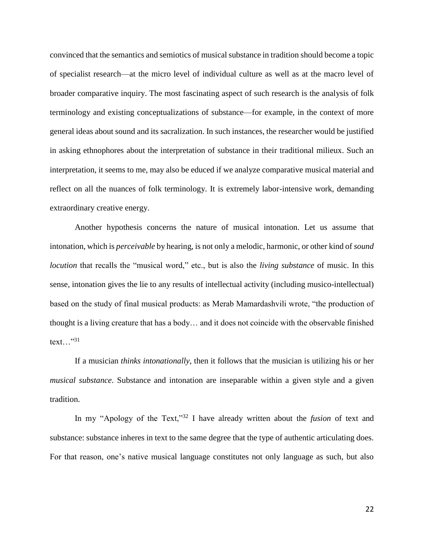convinced that the semantics and semiotics of musical substance in tradition should become a topic of specialist research—at the micro level of individual culture as well as at the macro level of broader comparative inquiry. The most fascinating aspect of such research is the analysis of folk terminology and existing conceptualizations of substance—for example, in the context of more general ideas about sound and its sacralization. In such instances, the researcher would be justified in asking ethnophores about the interpretation of substance in their traditional milieux. Such an interpretation, it seems to me, may also be educed if we analyze comparative musical material and reflect on all the nuances of folk terminology. It is extremely labor-intensive work, demanding extraordinary creative energy.

Another hypothesis concerns the nature of musical intonation. Let us assume that intonation, which is *perceivable* by hearing, is not only a melodic, harmonic, or other kind of *sound locution* that recalls the "musical word," etc., but is also the *living substance* of music. In this sense, intonation gives the lie to any results of intellectual activity (including musico-intellectual) based on the study of final musical products: as Merab Mamardashvili wrote, "the production of thought is a living creature that has a body… and it does not coincide with the observable finished text..." $31$ 

If a musician *thinks intonationally*, then it follows that the musician is utilizing his or her *musical substance*. Substance and intonation are inseparable within a given style and a given tradition.

In my "Apology of the Text,"<sup>32</sup> I have already written about the *fusion* of text and substance: substance inheres in text to the same degree that the type of authentic articulating does. For that reason, one's native musical language constitutes not only language as such, but also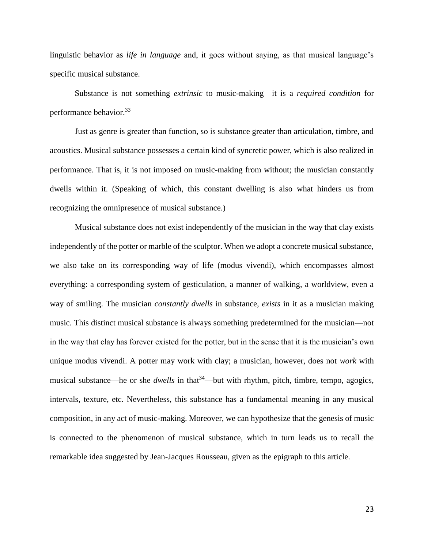linguistic behavior as *life in language* and, it goes without saying, as that musical language's specific musical substance.

Substance is not something *extrinsic* to music-making—it is a *required condition* for performance behavior.<sup>33</sup>

Just as genre is greater than function, so is substance greater than articulation, timbre, and acoustics. Musical substance possesses a certain kind of syncretic power, which is also realized in performance. That is, it is not imposed on music-making from without; the musician constantly dwells within it. (Speaking of which, this constant dwelling is also what hinders us from recognizing the omnipresence of musical substance.)

Musical substance does not exist independently of the musician in the way that clay exists independently of the potter or marble of the sculptor. When we adopt a concrete musical substance, we also take on its corresponding way of life (modus vivendi), which encompasses almost everything: a corresponding system of gesticulation, a manner of walking, a worldview, even a way of smiling. The musician *constantly dwells* in substance, *exists* in it as a musician making music. This distinct musical substance is always something predetermined for the musician—not in the way that clay has forever existed for the potter, but in the sense that it is the musician's own unique modus vivendi. A potter may work with clay; a musician, however, does not *work* with musical substance—he or she *dwells* in that<sup>34</sup>—but with rhythm, pitch, timbre, tempo, agogics, intervals, texture, etc. Nevertheless, this substance has a fundamental meaning in any musical composition, in any act of music-making. Moreover, we can hypothesize that the genesis of music is connected to the phenomenon of musical substance, which in turn leads us to recall the remarkable idea suggested by Jean-Jacques Rousseau, given as the epigraph to this article.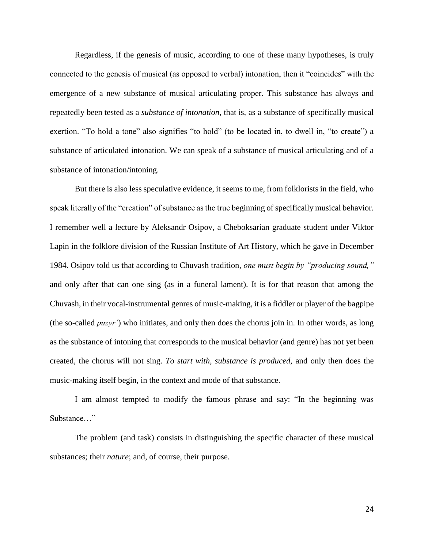Regardless, if the genesis of music, according to one of these many hypotheses, is truly connected to the genesis of musical (as opposed to verbal) intonation, then it "coincides" with the emergence of a new substance of musical articulating proper. This substance has always and repeatedly been tested as a *substance of intonation*, that is, as a substance of specifically musical exertion. "To hold a tone" also signifies "to hold" (to be located in, to dwell in, "to create") a substance of articulated intonation. We can speak of a substance of musical articulating and of a substance of intonation/intoning.

But there is also less speculative evidence, it seems to me, from folklorists in the field, who speak literally of the "creation" of substance as the true beginning of specifically musical behavior. I remember well a lecture by Aleksandr Osipov, a Cheboksarian graduate student under Viktor Lapin in the folklore division of the Russian Institute of Art History, which he gave in December 1984. Osipov told us that according to Chuvash tradition, *one must begin by "producing sound,"*  and only after that can one sing (as in a funeral lament). It is for that reason that among the Chuvash, in their vocal-instrumental genres of music-making, it is a fiddler or player of the bagpipe (the so-called *puzyr'*) who initiates, and only then does the chorus join in. In other words, as long as the substance of intoning that corresponds to the musical behavior (and genre) has not yet been created, the chorus will not sing. *To start with, substance is produced,* and only then does the music-making itself begin, in the context and mode of that substance.

I am almost tempted to modify the famous phrase and say: "In the beginning was Substance…"

The problem (and task) consists in distinguishing the specific character of these musical substances; their *nature*; and, of course, their purpose.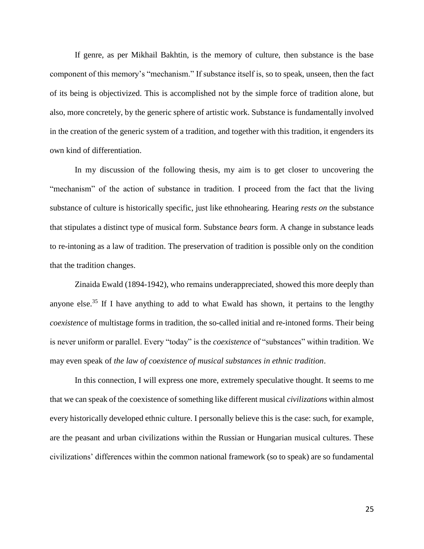If genre, as per Mikhail Bakhtin, is the memory of culture, then substance is the base component of this memory's "mechanism." If substance itself is, so to speak, unseen, then the fact of its being is objectivized. This is accomplished not by the simple force of tradition alone, but also, more concretely, by the generic sphere of artistic work. Substance is fundamentally involved in the creation of the generic system of a tradition, and together with this tradition, it engenders its own kind of differentiation.

In my discussion of the following thesis, my aim is to get closer to uncovering the "mechanism" of the action of substance in tradition. I proceed from the fact that the living substance of culture is historically specific, just like ethnohearing. Hearing *rests on* the substance that stipulates a distinct type of musical form. Substance *bears* form. A change in substance leads to re-intoning as a law of tradition. The preservation of tradition is possible only on the condition that the tradition changes.

Zinaida Ewald (1894-1942), who remains underappreciated, showed this more deeply than anyone else.<sup>35</sup> If I have anything to add to what Ewald has shown, it pertains to the lengthy *coexistence* of multistage forms in tradition, the so-called initial and re-intoned forms. Their being is never uniform or parallel. Every "today" is the *coexistence* of "substances" within tradition. We may even speak of *the law of coexistence of musical substances in ethnic tradition*.

In this connection, I will express one more, extremely speculative thought. It seems to me that we can speak of the coexistence of something like different musical *civilizations* within almost every historically developed ethnic culture. I personally believe this is the case: such, for example, are the peasant and urban civilizations within the Russian or Hungarian musical cultures. These civilizations' differences within the common national framework (so to speak) are so fundamental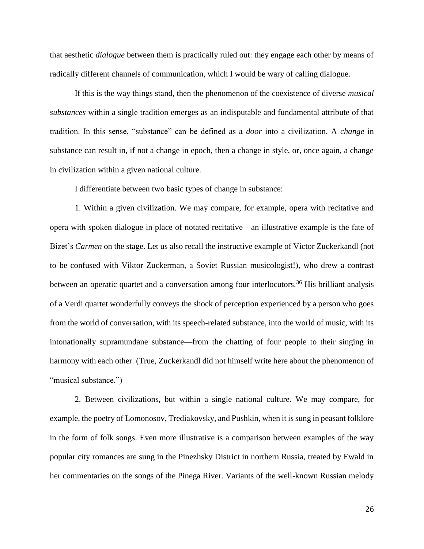that aesthetic *dialogue* between them is practically ruled out: they engage each other by means of radically different channels of communication, which I would be wary of calling dialogue.

If this is the way things stand, then the phenomenon of the coexistence of diverse *musical substances* within a single tradition emerges as an indisputable and fundamental attribute of that tradition. In this sense, "substance" can be defined as a *door* into a civilization. A *change* in substance can result in, if not a change in epoch, then a change in style, or, once again, a change in civilization within a given national culture.

I differentiate between two basic types of change in substance:

1. Within a given civilization. We may compare, for example, opera with recitative and opera with spoken dialogue in place of notated recitative—an illustrative example is the fate of Bizet's *Carmen* on the stage. Let us also recall the instructive example of Victor Zuckerkandl (not to be confused with Viktor Zuckerman, a Soviet Russian musicologist!), who drew a contrast between an operatic quartet and a conversation among four interlocutors.<sup>36</sup> His brilliant analysis of a Verdi quartet wonderfully conveys the shock of perception experienced by a person who goes from the world of conversation, with its speech-related substance, into the world of music, with its intonationally supramundane substance—from the chatting of four people to their singing in harmony with each other. (True, Zuckerkandl did not himself write here about the phenomenon of "musical substance.")

2. Between civilizations, but within a single national culture. We may compare, for example, the poetry of Lomonosov, Trediakovsky, and Pushkin, when it is sung in peasant folklore in the form of folk songs. Even more illustrative is a comparison between examples of the way popular city romances are sung in the Pinezhsky District in northern Russia, treated by Ewald in her commentaries on the songs of the Pinega River. Variants of the well-known Russian melody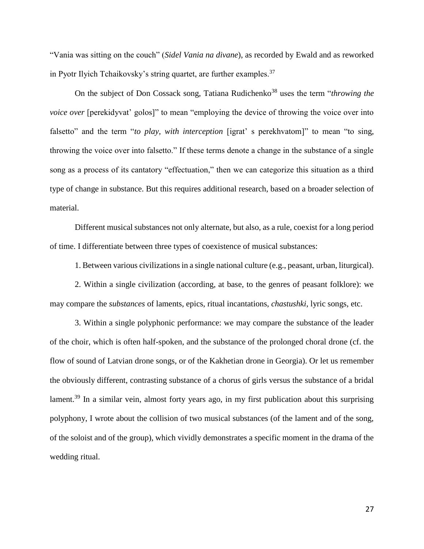"Vania was sitting on the couch" (*Sidel Vania na divane*), as recorded by Ewald and as reworked in Pyotr Ilyich Tchaikovsky's string quartet, are further examples.<sup>37</sup>

On the subject of Don Cossack song, Tatiana Rudichenko<sup>38</sup> uses the term "*throwing the voice over* [perekidyvat' golos]" to mean "employing the device of throwing the voice over into falsetto" and the term "*to play, with interception* [igrat' s perekhvatom]" to mean "to sing, throwing the voice over into falsetto." If these terms denote a change in the substance of a single song as a process of its cantatory "effectuation," then we can categorize this situation as a third type of change in substance. But this requires additional research, based on a broader selection of material.

Different musical substances not only alternate, but also, as a rule, coexist for a long period of time. I differentiate between three types of coexistence of musical substances:

1. Between various civilizations in a single national culture (e.g., peasant, urban, liturgical).

2. Within a single civilization (according, at base, to the genres of peasant folklore): we may compare the *substances* of laments, epics, ritual incantations, *chastushki*, lyric songs, etc.

3. Within a single polyphonic performance: we may compare the substance of the leader of the choir, which is often half-spoken, and the substance of the prolonged choral drone (cf. the flow of sound of Latvian drone songs, or of the Kakhetian drone in Georgia). Or let us remember the obviously different, contrasting substance of a chorus of girls versus the substance of a bridal lament.<sup>39</sup> In a similar vein, almost forty years ago, in my first publication about this surprising polyphony, I wrote about the collision of two musical substances (of the lament and of the song, of the soloist and of the group), which vividly demonstrates a specific moment in the drama of the wedding ritual.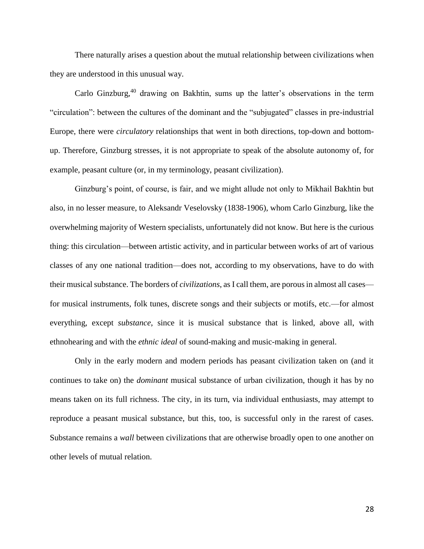There naturally arises a question about the mutual relationship between civilizations when they are understood in this unusual way.

Carlo Ginzburg,<sup>40</sup> drawing on Bakhtin, sums up the latter's observations in the term "circulation": between the cultures of the dominant and the "subjugated" classes in pre-industrial Europe, there were *circulatory* relationships that went in both directions, top-down and bottomup. Therefore, Ginzburg stresses, it is not appropriate to speak of the absolute autonomy of, for example, peasant culture (or, in my terminology, peasant civilization).

Ginzburg's point, of course, is fair, and we might allude not only to Mikhail Bakhtin but also, in no lesser measure, to Aleksandr Veselovsky (1838-1906), whom Carlo Ginzburg, like the overwhelming majority of Western specialists, unfortunately did not know. But here is the curious thing: this circulation—between artistic activity, and in particular between works of art of various classes of any one national tradition—does not, according to my observations, have to do with their musical substance. The borders of *civilizations*, as I call them, are porous in almost all cases for musical instruments, folk tunes, discrete songs and their subjects or motifs, etc.—for almost everything, except *substance*, since it is musical substance that is linked, above all, with ethnohearing and with the *ethnic ideal* of sound-making and music-making in general.

Only in the early modern and modern periods has peasant civilization taken on (and it continues to take on) the *dominant* musical substance of urban civilization, though it has by no means taken on its full richness. The city, in its turn, via individual enthusiasts, may attempt to reproduce a peasant musical substance, but this, too, is successful only in the rarest of cases. Substance remains a *wall* between civilizations that are otherwise broadly open to one another on other levels of mutual relation.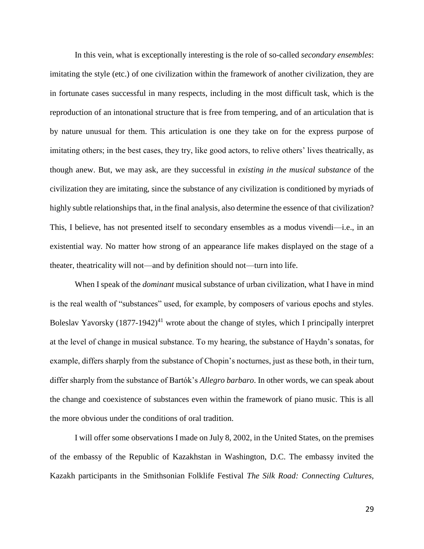In this vein, what is exceptionally interesting is the role of so-called *secondary ensembles*: imitating the style (etc.) of one civilization within the framework of another civilization, they are in fortunate cases successful in many respects, including in the most difficult task, which is the reproduction of an intonational structure that is free from tempering, and of an articulation that is by nature unusual for them. This articulation is one they take on for the express purpose of imitating others; in the best cases, they try, like good actors, to relive others' lives theatrically, as though anew. But, we may ask, are they successful in *existing in the musical substance* of the civilization they are imitating, since the substance of any civilization is conditioned by myriads of highly subtle relationships that, in the final analysis, also determine the essence of that civilization? This, I believe, has not presented itself to secondary ensembles as a modus vivendi—i.e., in an existential way. No matter how strong of an appearance life makes displayed on the stage of a theater, theatricality will not—and by definition should not—turn into life.

When I speak of the *dominant* musical substance of urban civilization, what I have in mind is the real wealth of "substances" used, for example, by composers of various epochs and styles. Boleslav Yavorsky  $(1877-1942)^{41}$  wrote about the change of styles, which I principally interpret at the level of change in musical substance. To my hearing, the substance of Haydn's sonatas, for example, differs sharply from the substance of Chopin's nocturnes, just as these both, in their turn, differ sharply from the substance of Bartók's *Allegro barbaro*. In other words, we can speak about the change and coexistence of substances even within the framework of piano music. This is all the more obvious under the conditions of oral tradition.

I will offer some observations I made on July 8, 2002, in the United States, on the premises of the embassy of the Republic of Kazakhstan in Washington, D.C. The embassy invited the Kazakh participants in the Smithsonian Folklife Festival *The Silk Road: Connecting Cultures,*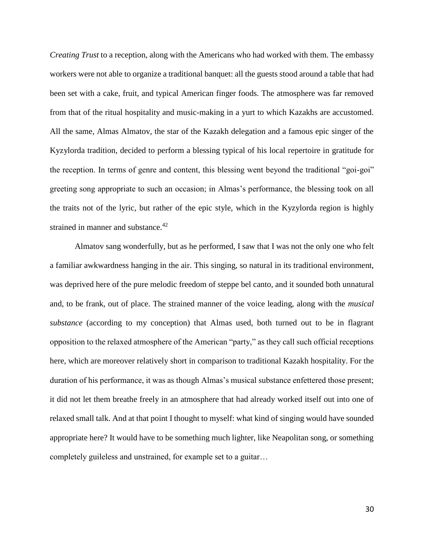*Creating Trust* to a reception, along with the Americans who had worked with them. The embassy workers were not able to organize a traditional banquet: all the guests stood around a table that had been set with a cake, fruit, and typical American finger foods. The atmosphere was far removed from that of the ritual hospitality and music-making in a yurt to which Kazakhs are accustomed. All the same, Almas Almatov, the star of the Kazakh delegation and a famous epic singer of the Kyzylorda tradition, decided to perform a blessing typical of his local repertoire in gratitude for the reception. In terms of genre and content, this blessing went beyond the traditional "goi-goi" greeting song appropriate to such an occasion; in Almas's performance, the blessing took on all the traits not of the lyric, but rather of the epic style, which in the Kyzylorda region is highly strained in manner and substance.<sup>42</sup>

Almatov sang wonderfully, but as he performed, I saw that I was not the only one who felt a familiar awkwardness hanging in the air. This singing, so natural in its traditional environment, was deprived here of the pure melodic freedom of steppe bel canto, and it sounded both unnatural and, to be frank, out of place. The strained manner of the voice leading, along with the *musical substance* (according to my conception) that Almas used, both turned out to be in flagrant opposition to the relaxed atmosphere of the American "party," as they call such official receptions here, which are moreover relatively short in comparison to traditional Kazakh hospitality. For the duration of his performance, it was as though Almas's musical substance enfettered those present; it did not let them breathe freely in an atmosphere that had already worked itself out into one of relaxed small talk. And at that point I thought to myself: what kind of singing would have sounded appropriate here? It would have to be something much lighter, like Neapolitan song, or something completely guileless and unstrained, for example set to a guitar…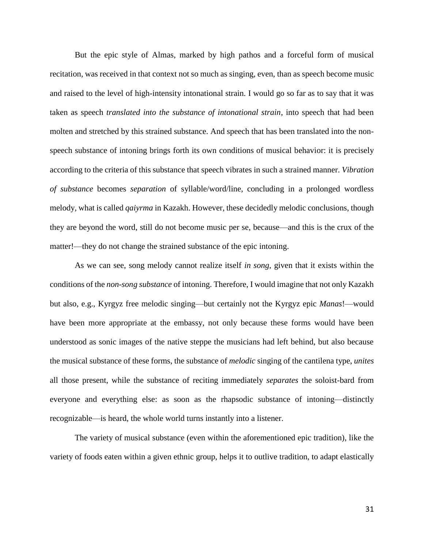But the epic style of Almas, marked by high pathos and a forceful form of musical recitation, was received in that context not so much as singing, even, than as speech become music and raised to the level of high-intensity intonational strain. I would go so far as to say that it was taken as speech *translated into the substance of intonational strain*, into speech that had been molten and stretched by this strained substance. And speech that has been translated into the nonspeech substance of intoning brings forth its own conditions of musical behavior: it is precisely according to the criteria of this substance that speech vibrates in such a strained manner. *Vibration of substance* becomes *separation* of syllable/word/line, concluding in a prolonged wordless melody, what is called *qaiyrma* in Kazakh. However, these decidedly melodic conclusions, though they are beyond the word, still do not become music per se, because—and this is the crux of the matter!—they do not change the strained substance of the epic intoning.

As we can see, song melody cannot realize itself *in song*, given that it exists within the conditions of the *non-song substance* of intoning. Therefore, I would imagine that not only Kazakh but also, e.g., Kyrgyz free melodic singing—but certainly not the Kyrgyz epic *Manas*!—would have been more appropriate at the embassy, not only because these forms would have been understood as sonic images of the native steppe the musicians had left behind, but also because the musical substance of these forms, the substance of *melodic* singing of the cantilena type, *unites* all those present, while the substance of reciting immediately *separates* the soloist-bard from everyone and everything else: as soon as the rhapsodic substance of intoning—distinctly recognizable—is heard, the whole world turns instantly into a listener.

The variety of musical substance (even within the aforementioned epic tradition), like the variety of foods eaten within a given ethnic group, helps it to outlive tradition, to adapt elastically

31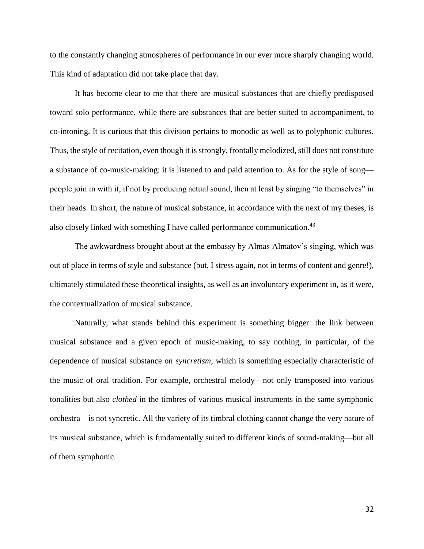to the constantly changing atmospheres of performance in our ever more sharply changing world. This kind of adaptation did not take place that day.

It has become clear to me that there are musical substances that are chiefly predisposed toward solo performance, while there are substances that are better suited to accompaniment, to co-intoning. It is curious that this division pertains to monodic as well as to polyphonic cultures. Thus, the style of recitation, even though it is strongly, frontally melodized, still does not constitute a substance of co-music-making: it is listened to and paid attention to. As for the style of song people join in with it, if not by producing actual sound, then at least by singing "to themselves" in their heads. In short, the nature of musical substance, in accordance with the next of my theses, is also closely linked with something I have called performance communication.<sup>43</sup>

The awkwardness brought about at the embassy by Almas Almatov's singing, which was out of place in terms of style and substance (but, I stress again, not in terms of content and genre!), ultimately stimulated these theoretical insights, as well as an involuntary experiment in, as it were, the contextualization of musical substance.

Naturally, what stands behind this experiment is something bigger: the link between musical substance and a given epoch of music-making, to say nothing, in particular, of the dependence of musical substance on *syncretism*, which is something especially characteristic of the music of oral tradition. For example, orchestral melody—not only transposed into various tonalities but also *clothed* in the timbres of various musical instruments in the same symphonic orchestra—is not syncretic. All the variety of its timbral clothing cannot change the very nature of its musical substance, which is fundamentally suited to different kinds of sound-making—but all of them symphonic.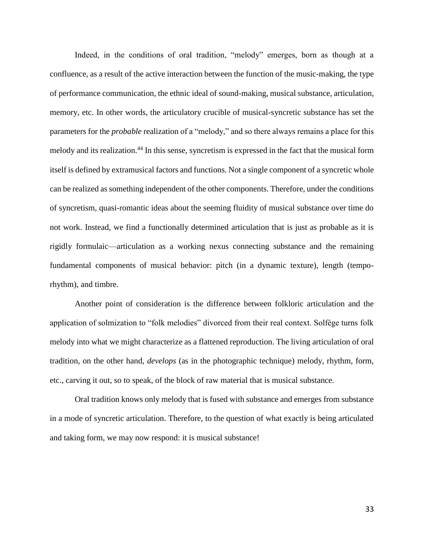Indeed, in the conditions of oral tradition, "melody" emerges, born as though at a confluence, as a result of the active interaction between the function of the music-making, the type of performance communication, the ethnic ideal of sound-making, musical substance, articulation, memory, etc. In other words, the articulatory crucible of musical-syncretic substance has set the parameters for the *probable* realization of a "melody," and so there always remains a place for this melody and its realization.<sup>44</sup> In this sense, syncretism is expressed in the fact that the musical form itself is defined by extramusical factors and functions. Not a single component of a syncretic whole can be realized as something independent of the other components. Therefore, under the conditions of syncretism, quasi-romantic ideas about the seeming fluidity of musical substance over time do not work. Instead, we find a functionally determined articulation that is just as probable as it is rigidly formulaic—articulation as a working nexus connecting substance and the remaining fundamental components of musical behavior: pitch (in a dynamic texture), length (temporhythm), and timbre.

Another point of consideration is the difference between folkloric articulation and the application of solmization to "folk melodies" divorced from their real context. Solfège turns folk melody into what we might characterize as a flattened reproduction. The living articulation of oral tradition, on the other hand, *develops* (as in the photographic technique) melody, rhythm, form, etc., carving it out, so to speak, of the block of raw material that is musical substance.

Oral tradition knows only melody that is fused with substance and emerges from substance in a mode of syncretic articulation. Therefore, to the question of what exactly is being articulated and taking form, we may now respond: it is musical substance!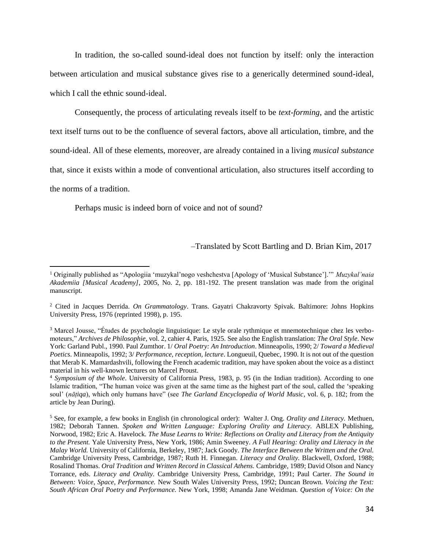In tradition, the so-called sound-ideal does not function by itself: only the interaction between articulation and musical substance gives rise to a generically determined sound-ideal, which I call the ethnic sound-ideal.

Consequently, the process of articulating reveals itself to be *text-forming*, and the artistic text itself turns out to be the confluence of several factors, above all articulation, timbre, and the sound-ideal. All of these elements, moreover, are already contained in a living *musical substance* that, since it exists within a mode of conventional articulation, also structures itself according to the norms of a tradition.

Perhaps music is indeed born of voice and not of sound?

 $\overline{a}$ 

–Translated by Scott Bartling and D. Brian Kim, 2017

<sup>1</sup> Originally published as "Apologiia 'muzykal'nogo veshchestva [Apology of 'Musical Substance'].'" *Muzykal'naia Akademiia [Musical Academy]*, 2005, No. 2, pp. 181-192. The present translation was made from the original manuscript.

<sup>2</sup> Cited in Jacques Derrida. *On Grammatology*. Trans. Gayatri Chakravorty Spivak. Baltimore: Johns Hopkins University Press, 1976 (reprinted 1998), p. 195.

<sup>3</sup> Marcel Jousse, "Études de psychologie linguistique: Le style orale rythmique et mnemotechnique chez les verbomoteurs," *Archives de Philosophie*, vol. 2, cahier 4. Paris, 1925. See also the English translation: *The Oral Style*. New York: Garland Publ., 1990. Paul Zumthor. 1/ *Oral Poetry: An Introduction*. Minneapolis, 1990; 2/ *Toward a Medieval Poetics*. Minneapolis, 1992; 3/ *Performance, reception, lecture*. Longueuil, Quebec, 1990. It is not out of the question that Merab K. Mamardashvili, following the French academic tradition, may have spoken about the voice as a distinct material in his well-known lectures on Marcel Proust.

<sup>4</sup> *Symposium of the Whole*. University of California Press, 1983, p. 95 (in the Indian tradition). According to one Islamic tradition, "The human voice was given at the same time as the highest part of the soul, called the 'speaking soul' (*nāṭiqa*), which only humans have" (see *The Garland Encyclopedia of World Music*, vol. 6, p. 182; from the article by Jean During).

<sup>5</sup> See, for example, a few books in English (in chronological order): Walter J. Ong. *Orality and Literacy.* Methuen, 1982; Deborah Tannen. *Spoken and Written Language: Exploring Orality and Literacy.* ABLEX Publishing, Norwood, 1982; Eric A. Havelock. *The Muse Learns to Write: Reflections on Orality and Literacy from the Antiquity to the Present.* Yale University Press, New York, 1986; Amin Sweeney. *A Full Hearing: Orality and Literacy in the Malay World.* University of California, Berkeley, 1987; Jack Goody. *The Interface Between the Written and the Oral.*  Cambridge University Press, Cambridge, 1987; Ruth H. Finnegan. *Literacy and Orality.* Blackwell, Oxford, 1988; Rosalind Thomas. *Oral Tradition and Written Record in Classical Athens.* Cambridge, 1989; David Olson and Nancy Torrance, eds. *Literacy and Orality.* Cambridge University Press, Cambridge, 1991; Paul Carter. *The Sound in Between: Voice, Space, Performance.* New South Wales University Press, 1992; Duncan Brown. *Voicing the Text: South African Oral Poetry and Performance.* New York, 1998; Amanda Jane Weidman. *Question of Voice: On the*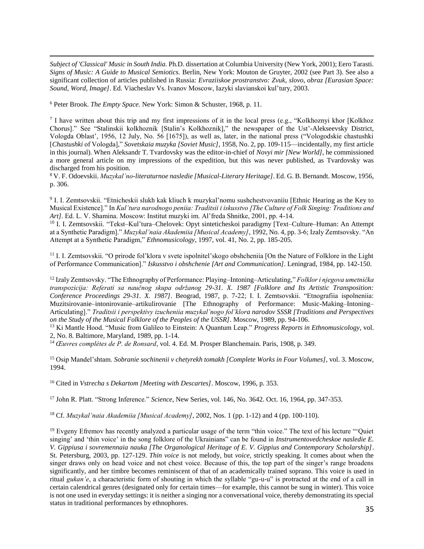*Subject of 'Classical' Music in South India.* Ph.D. dissertation at Columbia University (New York, 2001); Eero Tarasti. *Signs of Music: A Guide to Musical Semiotics.* Berlin, New York: Mouton de Gruyter, 2002 (see Part 3). See also a significant collection of articles published in Russia: *Evraziiskoe prostranstvo: Zvuk, slovo, obraz [Eurasian Space: Sound, Word, Image]*. Ed. Viacheslav Vs. Ivanov Moscow, Iazyki slavianskoi kul'tury, 2003.

<sup>6</sup> Peter Brook. *The Empty Space.* New York: Simon & Schuster, 1968, p. 11.

 $\overline{a}$ 

<sup>7</sup> I have written about this trip and my first impressions of it in the local press (e.g., "Kolkhoznyi khor [Kolkhoz Chorus]." See "Stalinskii kolkhoznik [Stalin's Kolkhoznik]," the newspaper of the Ust'-Alekseevsky District, Vologda Oblast', 1956, 12 July, No. 56 [1675]), as well as, later, in the national press ("Vologodskie chastushki [*Chastushki* of Vologda]," *Sovetskaia muzyka [Soviet Music]*, 1958, No. 2, pp. 109-115—incidentally, my first article in this journal). When Aleksandr T. Tvardovsky was the editor-in-chief of *Novyi mir [New World]*, he commissioned a more general article on my impressions of the expedition, but this was never published, as Tvardovsky was discharged from his position.

<sup>8</sup> V. F. Odoevskii. *Muzykal'no-literaturnoe nasledie [Musical-Literary Heritage]*. Ed. G. B. Bernandt. Moscow, 1956, p. 306.

9 I. I. Zemtsovskii. "Etnicheskii slukh kak kliuch k muzykal'nomu sushchestvovaniiu [Ethnic Hearing as the Key to Musical Existence]." In *Kul'tura narodnogo peniia: Traditsii i iskusstvo [The Culture of Folk Singing: Traditions and Art]*. Ed. L. V. Shamina. Moscow: Institut muzyki im. Al'freda Shnitke, 2001, pp. 4-14.

<sup>10</sup> I. I. Zemtsovskii. "Tekst–Kul'tura–Chelovek: Opyt sinteticheskoi paradigmy [Text–Culture–Human: An Attempt at a Synthetic Paradigm]." *Muzykal'naia Akademiia [Musical Academy]*, 1992, No. 4, pp. 3-6; Izaly Zemtsovsky. "An Attempt at a Synthetic Paradigm," *Ethnomusicology*, 1997, vol. 41, No. 2, pp. 185-205.

<sup>11</sup> I. I. Zemtsovskii. "O prirode fol'klora v svete ispolnitel'skogo obshcheniia [On the Nature of Folklore in the Light of Performance Communication]." *Iskusstvo i obshchenie [Art and Communication]*. Leningrad, 1984, pp. 142-150.

<sup>12</sup> Izaly Zemtsovsky. "The Ethnography of Performance: Playing–Intoning–Articulating," *Folklor i njegova umetnička transpozicija: Referati sa naučnog skupa održanog 29-31. X. 1987 [Folklore and Its Artistic Transposition: Conference Proceedings 29-31. X. 1987]*. Beograd, 1987, p. 7-22; I. I. Zemtsovskii. "Etnografiia ispolneniia: Muzitsirovanie–intonirovanie–artikulirovanie [The Ethnography of Performance: Music-Making–Intoning– Articulating]." *Traditsii i perspektivy izucheniia muzykal'nogo fol'klora narodov SSSR [Traditions and Perspectives on the Study of the Musical Folklore of the Peoples of the USSR]*. Moscow, 1989, pp. 94-106.

<sup>13</sup> Ki Mantle Hood. "Music from Galileo to Einstein: A Quantum Leap." *Progress Reports in Ethnomusicology*, vol. 2, No. 8. Baltimore, Maryland, 1989, pp. 1-14.

<sup>14</sup> *Œuvres complètes de P. de Ronsard*, vol. 4. Ed. M. Prosper Blanchemain. Paris, 1908, p. 349.

<sup>15</sup> Osip Mandel'shtam. *Sobranie sochinenii v chetyrekh tomakh [Complete Works in Four Volumes]*, vol. 3. Moscow, 1994.

<sup>16</sup> Cited in *Vstrecha s Dekartom [Meeting with Descartes]*. Moscow, 1996, p. 353.

<sup>17</sup> John R. Platt. "Strong Inference." *Science*, New Series, vol. 146, No. 3642. Oct. 16, 1964, pp. 347-353.

<sup>18</sup> Cf. *Muzykal'naia Akademiia [Musical Academy]*, 2002, Nos. 1 (pp. 1-12) and 4 (pp. 100-110).

<sup>19</sup> Evgeny Efremov has recently analyzed a particular usage of the term "thin voice." The text of his lecture "'Quiet singing' and 'thin voice' in the song folklore of the Ukrainians" can be found in *Instrumentovedcheskoe nasledie E. V. Gippiusa i sovremennaia nauka [The Organological Heritage of E. V. Gippius and Contemporary Scholarship]*. St. Petersburg, 2003, pp. 127-129. *Thin voice* is not melody, but *voice*, strictly speaking. It comes about when the singer draws only on head voice and not chest voice. Because of this, the top part of the singer's range broadens significantly, and her timbre becomes reminiscent of that of an academically trained soprano. This voice is used in ritual *gukan'e*, a characteristic form of shouting in which the syllable "gu-u-u" is protracted at the end of a call in certain calendrical genres (designated only for certain times—for example, this cannot be sung in winter). This voice is not one used in everyday settings: it is neither a singing nor a conversational voice, thereby demonstrating its special status in traditional performances by ethnophores.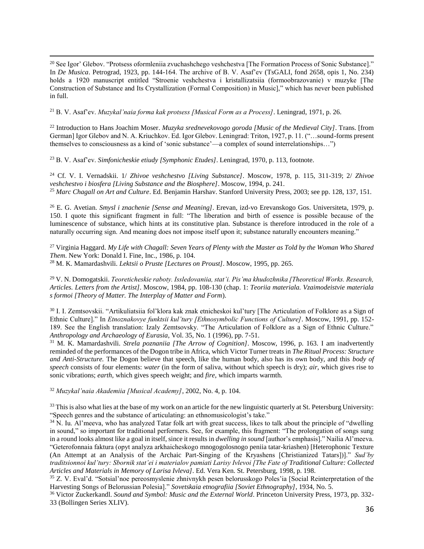$\overline{a}$ <sup>20</sup> See Igor' Glebov. "Protsess oformleniia zvuchashchego veshchestva [The Formation Process of Sonic Substance]." In *De Musica*. Petrograd, 1923, pp. 144-164. The archive of B. V. Asaf'ev (TsGALI, fond 2658, opis 1, No. 234) holds a 1920 manuscript entitled "Stroenie veshchestva i kristallizatsiia (formoobrazovanie) v muzyke [The Construction of Substance and Its Crystallization (Formal Composition) in Music]," which has never been published in full.

<sup>21</sup> B. V. Asaf'ev. *Muzykal'naia forma kak protsess [Musical Form as a Process]*. Leningrad, 1971, p. 26.

<sup>22</sup> Introduction to Hans Joachim Moser. *Muzyka srednevekovogo goroda [Music of the Medieval City]*. Trans. [from German] Igor Glebov and N. A. Kriuchkov. Ed. Igor Glebov. Leningrad: Triton, 1927, p. 11. ("…sound-forms present themselves to consciousness as a kind of 'sonic substance'—a complex of sound interrelationships…")

<sup>23</sup> B. V. Asaf'ev. *Simfonicheskie etiudy [Symphonic Etudes]*. Leningrad, 1970, p. 113, footnote.

<sup>24</sup> Cf. V. I. Vernadskii. 1/ *Zhivoe veshchestvo [Living Substance]*. Moscow, 1978, p. 115, 311-319; 2/ *Zhivoe veshchestvo i biosfera [Living Substance and the Biosphere]*. Moscow, 1994, p. 241. <sup>25</sup> *Marc Chagall on Art and Culture*. Ed. Benjamin Harshav. Stanford University Press, 2003; see pp. 128, 137, 151.

<sup>26</sup> E. G. Avetian. *Smysl i znachenie [Sense and Meaning]*. Erevan, izd-vo Erevanskogo Gos. Universiteta, 1979, p. 150. I quote this significant fragment in full: "The liberation and birth of essence is possible because of the luminescence of substance, which hints at its constitutive plan. Substance is therefore introduced in the role of a naturally occurring sign. And meaning does not impose itself upon it; substance naturally encounters meaning."

<sup>27</sup> Virginia Haggard. *My Life with Chagall: Seven Years of Plenty with the Master as Told by the Woman Who Shared Them*. New York: Donald I. Fine, Inc., 1986, p. 104. <sup>28</sup> M. K. Mamardashvili. *Lektsii o Pruste [Lectures on Proust]*. Moscow, 1995, pp. 265.

<sup>29</sup> V. N. Domogatskii. *Teoreticheskie raboty. Issledovaniia, stat'i. Pis'ma khudozhnika [Theoretical Works. Research, Articles. Letters from the Artist]*. Moscow, 1984, pp. 108-130 (chap. 1: *Teoriia materiala. Vzaimodeistvie materiala s formoi [Theory of Matter. The Interplay of Matter and Form*).

<sup>30</sup> I. I. Zemtsovskii. "Artikuliatsiia fol'klora kak znak etnicheskoi kul'tury [The Articulation of Folklore as a Sign of Ethnic Culture]." In *Etnoznakovye funktsii kul'tury [Ethnosymbolic Functions of Culture]*. Moscow, 1991, pp. 152- 189. See the English translation: Izaly Zemtsovsky. "The Articulation of Folklore as a Sign of Ethnic Culture." *Anthropology and Archaeology of Eurasia*, Vol. 35, No. 1 (1996), pp. 7-51.

<sup>31</sup> M. K. Mamardashvili. *Strela poznaniia [The Arrow of Cognition]*. Moscow, 1996, p. 163. I am inadvertently reminded of the performances of the Dogon tribe in Africa, which Victor Turner treats in *The Ritual Process: Structure and Anti-Structure.* The Dogon believe that speech, like the human body, also has its own body, and this *body of speech* consists of four elements: *water* (in the form of saliva, without which speech is dry); *air*, which gives rise to sonic vibrations; *earth*, which gives speech weight; and *fire*, which imparts warmth.

<sup>32</sup> *Muzykal'naia Akademiia [Musical Academy]*, 2002, No. 4, p. 104.

<sup>33</sup> This is also what lies at the base of my work on an article for the new linguistic quarterly at St. Petersburg University: "Speech genres and the substance of articulating: an ethnomusicologist's take."

 $34$  N. Iu. Al'meeva, who has analyzed Tatar folk art with great success, likes to talk about the principle of "dwelling in sound," so important for traditional performers. See, for example, this fragment: "The prolongation of songs sung in a round looks almost like a goal in itself, since it results in *dwelling in sound* [author's emphasis]." Nailia Al'meeva. "Geterofonnaia faktura (opyt analyza arkhaicheskogo mnogogolosnogo peniia tatar-kriashen) [Heterophonic Texture (An Attempt at an Analysis of the Archaic Part-Singing of the Kryashens [Christianized Tatars])]." *Sud'by traditsionnoi kul'tury: Sbornik stat'ei i materialov pamiati Larisy Ivlevoi [The Fate of Traditional Culture: Collected Articles and Materials in Memory of Larisa Ivleva]*. Ed. Vera Ken. St. Petersburg, 1998, p. 198.

<sup>35</sup> Z. V. Eval'd. "Sotsial'noe pereosmyslenie zhnivnykh pesen belorusskogo Poles'ia [Social Reinterpretation of the Harvesting Songs of Belorussian Polesia]." *Sovetskaia etnografiia [Soviet Ethnography]*, 1934, No. 5.

<sup>36</sup> Victor Zuckerkandl. *Sound and Symbol: Music and the External World*. Princeton University Press, 1973, pp. 332- 33 (Bollingen Series XLIV).